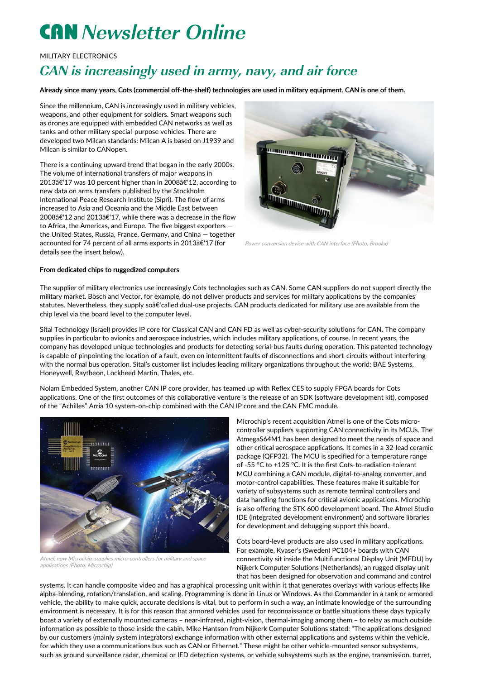# **CAN** Newsletter Online

MILITARY ELECTRONICS

## CAN is increasingly used in army, navy, and air force

Already since many years, Cots (commercial off-the-shelf) technologies are used in military equipment. CAN is one of them.

Since the millennium, CAN is increasingly used in military vehicles, weapons, and other equipment for soldiers. Smart weapons such as drones are equipped with embedded CAN networks as well as tanks and other military special-purpose vehicles. There are developed two Milcan standards: Milcan A is based on J1939 and Milcan is similar to CANopen.

There is a continuing upward trend that began in the early 2000s. The volume of international transfers of major weapons in 2013â€'17 was 10 percent higher than in 2008â€'12, according to new data on arms transfers published by the Stockholm International Peace Research Institute (Sipri). The flow of arms increased to Asia and Oceania and the Middle East between 2008â€'12 and 2013â€'17, while there was a decrease in the flow to Africa, the Americas, and Europe. The five biggest exporters the United States, Russia, France, Germany, and China — together accounted for 74 percent of all arms exports in 2013â€'17 (for details see the insert below).



Power conversion device with CAN interface (Photo: Brookx)

#### From dedicated chips to ruggedized computers

The supplier of military electronics use increasingly Cots technologies such as CAN. Some CAN suppliers do not support directly the military market. Bosch and Vector, for example, do not deliver products and services for military applications by the companies' statutes. Nevertheless, they supply soâ€'called dual-use projects. CAN products dedicated for military use are available from the chip level via the board level to the computer level.

Sital Technology (Israel) provides IP core for Classical CAN and CAN FD as well as cyber-security solutions for CAN. The company supplies in particular to avionics and aerospace industries, which includes military applications, of course. In recent years, the company has developed unique technologies and products for detecting serial-bus faults during operation. This patented technology is capable of pinpointing the location of a fault, even on intermittent faults of disconnections and short-circuits without interfering with the normal bus operation. Sital's customer list includes leading military organizations throughout the world: BAE Systems, Honeywell, Raytheon, Lockheed Martin, Thales, etc.

Nolam Embedded System, another CAN IP core provider, has teamed up with Reflex CES to supply FPGA boards for Cots applications. One of the first outcomes of this collaborative venture is the release of an SDK (software development kit), composed of the "Achilles" Arria 10 system-on-chip combined with the CAN IP core and the CAN FMC module.



Atmel, now Microchip, supplies micro-controllers for military and space applications (Photo: Microchip)

Microchip's recent acquisition Atmel is one of the Cots microcontroller suppliers supporting CAN connectivity in its MCUs. The AtmegaS64M1 has been designed to meet the needs of space and other critical aerospace applications. It comes in a 32-lead ceramic package (QFP32). The MCU is specified for a temperature range of -55 °C to +125 °C. It is the first Cots-to-radiation-tolerant MCU combining a CAN module, digital-to-analog converter, and motor-control capabilities. These features make it suitable for variety of subsystems such as remote terminal controllers and data handling functions for critical avionic applications. Microchip is also offering the STK 600 development board. The Atmel Studio IDE (integrated development environment) and software libraries for development and debugging support this board.

Cots board-level products are also used in military applications. For example, Kvaser's (Sweden) PC104+ boards with CAN connectivity sit inside the Multifunctional Display Unit (MFDU) by Nijkerk Computer Solutions (Netherlands), an rugged display unit that has been designed for observation and command and control

systems. It can handle composite video and has a graphical processing unit within it that generates overlays with various effects like alpha-blending, rotation/translation, and scaling. Programming is done in Linux or Windows. As the Commander in a tank or armored vehicle, the ability to make quick, accurate decisions is vital, but to perform in such a way, an intimate knowledge of the surrounding environment is necessary. It is for this reason that armored vehicles used for reconnaissance or battle situations these days typically boast a variety of externally mounted cameras – near-infrared, night-vision, thermal-imaging among them – to relay as much outside information as possible to those inside the cabin. Mike Hantson from Nijkerk Computer Solutions stated: "The applications designed by our customers (mainly system integrators) exchange information with other external applications and systems within the vehicle, for which they use a communications bus such as CAN or Ethernet." These might be other vehicle-mounted sensor subsystems, such as ground surveillance radar, chemical or IED detection systems, or vehicle subsystems such as the engine, transmission, turret,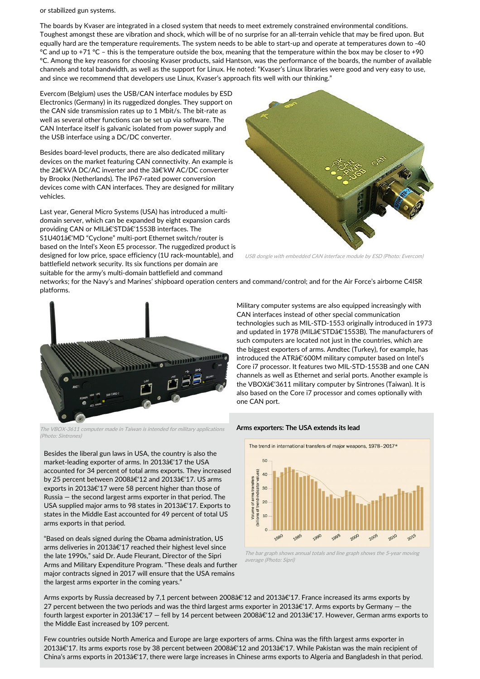or stabilized gun systems.

The boards by Kvaser are integrated in a closed system that needs to meet extremely constrained environmental conditions. Toughest amongst these are vibration and shock, which will be of no surprise for an all-terrain vehicle that may be fired upon. But equally hard are the temperature requirements. The system needs to be able to start-up and operate at temperatures down to -40  $°C$  and up to +71  $°C$  – this is the temperature outside the box, meaning that the temperature within the box may be closer to +90 °C. Among the key reasons for choosing Kvaser products, said Hantson, was the performance of the boards, the number of available channels and total bandwidth, as well as the support for Linux. He noted: "Kvaser's Linux libraries were good and very easy to use, and since we recommend that developers use Linux, Kvaser's approach fits well with our thinking."

Evercom (Belgium) uses the USB/CAN interface modules by ESD Electronics (Germany) in its ruggedized dongles. They support on the CAN side transmission rates up to 1 Mbit/s. The bit-rate as well as several other functions can be set up via software. The CAN Interface itself is galvanic isolated from power supply and the USB interface using a DC/DC converter.

Besides board-level products, there are also dedicated military devices on the market featuring CAN connectivity. An example is the 2â€'kVA DC/AC inverter and the 3â€'kW AC/DC converter by Brookx (Netherlands). The IP67-rated power conversion devices come with CAN interfaces. They are designed for military vehicles.

Last year, General Micro Systems (USA) has introduced a multidomain server, which can be expanded by eight expansion cards providing CAN or MILâ€'STDâ€'1553B interfaces. The S1U401â€'MD "Cyclone" multi-port Ethernet switch/router is based on the Intel's Xeon E5 processor. The ruggedized product is designed for low price, space efficiency (1U rack-mountable), and battlefield network security. Its six functions per domain are suitable for the army's multi-domain battlefield and command



USB dongle with embedded CAN interface module by ESD (Photo: Evercom)

networks; for the Navy's and Marines' shipboard operation centers and command/control; and for the Air Force's airborne C4ISR platforms.



The VBOX-3611 computer made in Taiwan is intended for military applications (Photo: Sintrones)

Besides the liberal gun laws in USA, the country is also the market-leading exporter of arms. In 2013â€'17 the USA accounted for 34 percent of total arms exports. They increased by 25 percent between 2008â€'12 and 2013â€'17. US arms exports in 2013â€'17 were 58 percent higher than those of Russia — the second largest arms exporter in that period. The USA supplied major arms to 98 states in 2013â€'17. Exports to states in the Middle East accounted for 49 percent of total US arms exports in that period.

"Based on deals signed during the Obama administration, US arms deliveries in 2013â€'17 reached their highest level since the late 1990s," said Dr. Aude Fleurant, Director of the Sipri Arms and Military Expenditure Program. "These deals and further major contracts signed in 2017 will ensure that the USA remains the largest arms exporter in the coming years."

Military computer systems are also equipped increasingly with CAN interfaces instead of other special communication technologies such as MIL-STD-1553 originally introduced in 1973 and updated in 1978 (MILâ€'STDâ€'1553B). The manufacturers of such computers are located not just in the countries, which are the biggest exporters of arms. Amdtec (Turkey), for example, has introduced the ATRâ€'600M military computer based on Intel's Core i7 processor. It features two MIL-STD-1553B and one CAN channels as well as Ethernet and serial ports. Another example is the VBOXâ€'3611 military computer by Sintrones (Taiwan). It is also based on the Core i7 processor and comes optionally with one CAN port.

#### Arms exporters: The USA extends its lead



The bar graph shows annual totals and line graph shows the 5-year moving average (Photo: Sipri)

Arms exports by Russia decreased by 7,1 percent between 2008â€'12 and 2013â€'17. France increased its arms exports by 27 percent between the two periods and was the third largest arms exporter in 2013â€'17. Arms exports by Germany  $-$  the fourth largest exporter in 2013 $\hat{\epsilon}$ 17 – fell by 14 percent between 2008 $\hat{\epsilon}$ 12 and 2013 $\hat{\epsilon}$ 17. However, German arms exports to the Middle East increased by 109 percent.

Few countries outside North America and Europe are large exporters of arms. China was the fifth largest arms exporter in 2013â€'17. Its arms exports rose by 38 percent between 2008â€'12 and 2013â€'17. While Pakistan was the main recipient of China's arms exports in 2013 a E'17, there were large increases in Chinese arms exports to Algeria and Bangladesh in that period.